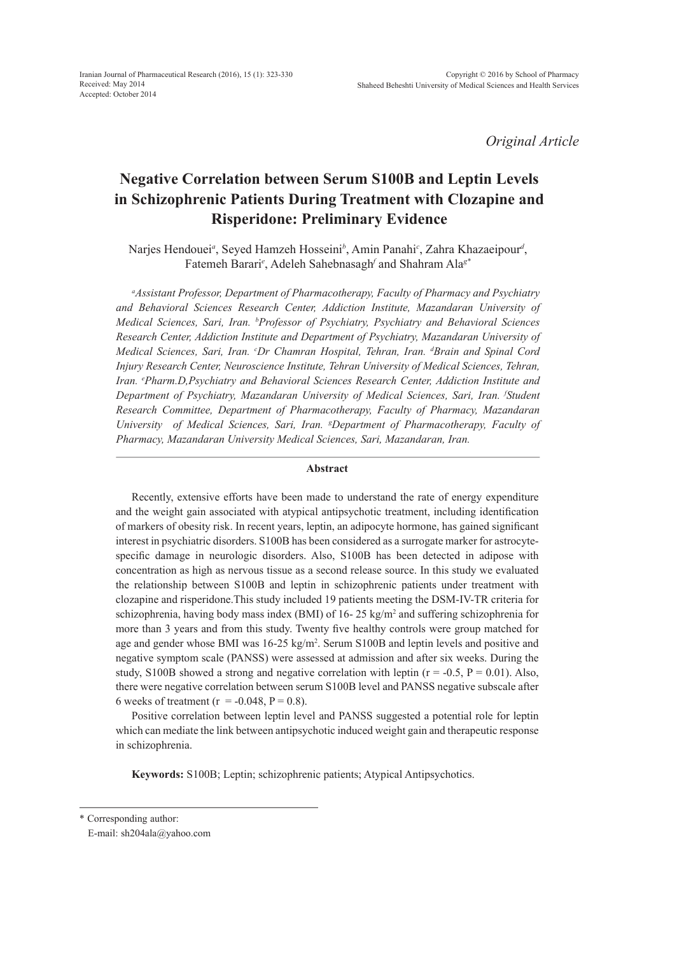*Original Article*

# **Negative Correlation between Serum S100B and Leptin Levels in Schizophrenic Patients During Treatment with Clozapine and Risperidone: Preliminary Evidence**

Narjes Hendouei*<sup>a</sup>* , Seyed Hamzeh Hosseini*<sup>b</sup>* , Amin Panahi*<sup>c</sup>* , Zahra Khazaeipour*<sup>d</sup>* , Fatemeh Barari*<sup>e</sup>* , Adeleh Sahebnasagh*<sup>f</sup>* and Shahram Ala*g\**

*a Assistant Professor, Department of Pharmacotherapy, Faculty of Pharmacy and Psychiatry and Behavioral Sciences Research Center, Addiction Institute, Mazandaran University of Medical Sciences, Sari, Iran. b Professor of Psychiatry, Psychiatry and Behavioral Sciences Research Center, Addiction Institute and Department of Psychiatry, Mazandaran University of Medical Sciences, Sari, Iran. c Dr Chamran Hospital, Tehran, Iran. d Brain and Spinal Cord Injury Research Center, Neuroscience Institute, Tehran University of Medical Sciences, Tehran, Iran. e Pharm.D,Psychiatry and Behavioral Sciences Research Center, Addiction Institute and Department of Psychiatry, Mazandaran University of Medical Sciences, Sari, Iran. f Student Research Committee, Department of Pharmacotherapy, Faculty of Pharmacy, Mazandaran University of Medical Sciences, Sari, Iran. g Department of Pharmacotherapy, Faculty of Pharmacy, Mazandaran University Medical Sciences, Sari, Mazandaran, Iran.*

# **Abstract**

Recently, extensive efforts have been made to understand the rate of energy expenditure and the weight gain associated with atypical antipsychotic treatment, including identification of markers of obesity risk. In recent years, leptin, an adipocyte hormone, has gained significant interest in psychiatric disorders. S100B has been considered as a surrogate marker for astrocytespecific damage in neurologic disorders. Also, S100B has been detected in adipose with concentration as high as nervous tissue as a second release source. In this study we evaluated the relationship between S100B and leptin in schizophrenic patients under treatment with clozapine and risperidone.This study included 19 patients meeting the DSM-IV-TR criteria for schizophrenia, having body mass index (BMI) of  $16-25 \text{ kg/m}^2$  and suffering schizophrenia for more than 3 years and from this study. Twenty five healthy controls were group matched for age and gender whose BMI was 16-25 kg/m<sup>2</sup>. Serum S100B and leptin levels and positive and negative symptom scale (PANSS) were assessed at admission and after six weeks. During the study, S100B showed a strong and negative correlation with leptin ( $r = -0.5$ ,  $P = 0.01$ ). Also, there were negative correlation between serum S100B level and PANSS negative subscale after 6 weeks of treatment ( $r = -0.048$ ,  $P = 0.8$ ).

Positive correlation between leptin level and PANSS suggested a potential role for leptin which can mediate the link between antipsychotic induced weight gain and therapeutic response in schizophrenia.

**Keywords:** S100B; Leptin; schizophrenic patients; Atypical Antipsychotics.

<sup>\*</sup> Corresponding author:

E-mail: sh204ala@yahoo.com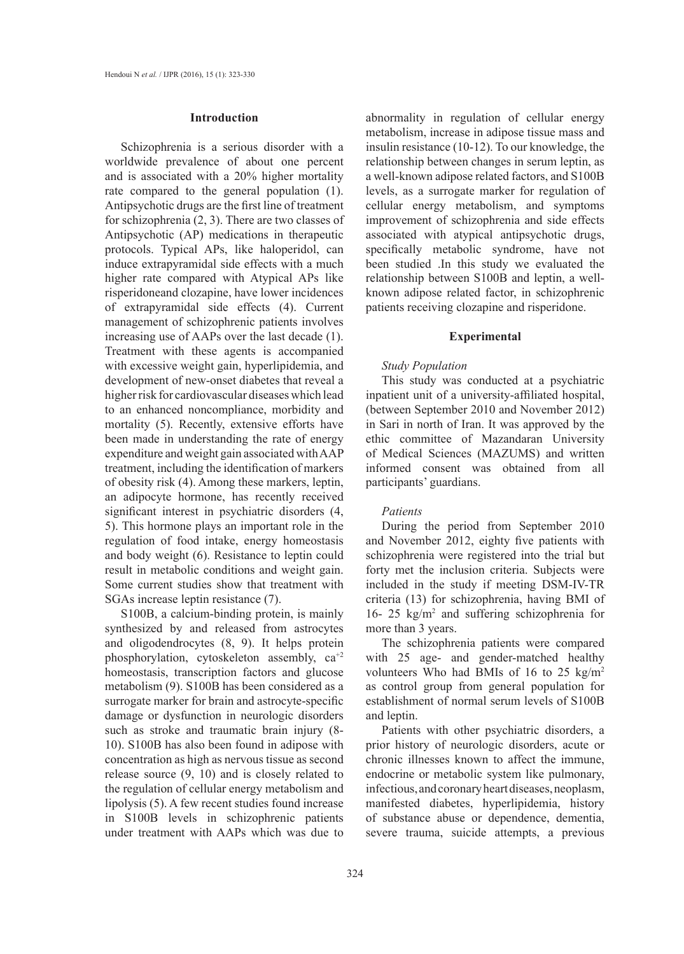## **Introduction**

Schizophrenia is a serious disorder with a worldwide prevalence of about one percent and is associated with a 20% higher mortality rate compared to the general population (1). Antipsychotic drugs are the first line of treatment for schizophrenia (2, 3). There are two classes of Antipsychotic (AP) medications in therapeutic protocols. Typical APs, like haloperidol, can induce extrapyramidal side effects with a much higher rate compared with Atypical APs like risperidoneand clozapine, have lower incidences of extrapyramidal side effects (4). Current management of schizophrenic patients involves increasing use of AAPs over the last decade (1). Treatment with these agents is accompanied with excessive weight gain, hyperlipidemia, and development of new-onset diabetes that reveal a higher risk for cardiovascular diseases which lead to an enhanced noncompliance, morbidity and mortality (5). Recently, extensive efforts have been made in understanding the rate of energy expenditure and weight gain associated with AAP treatment, including the identification of markers of obesity risk (4). Among these markers, leptin, an adipocyte hormone, has recently received significant interest in psychiatric disorders (4, 5). This hormone plays an important role in the regulation of food intake, energy homeostasis and body weight (6). Resistance to leptin could result in metabolic conditions and weight gain. Some current studies show that treatment with SGAs increase leptin resistance (7).

S100B, a calcium-binding protein, is mainly synthesized by and released from astrocytes and oligodendrocytes (8, 9). It helps protein phosphorylation, cytoskeleton assembly,  $ca^{+2}$ homeostasis, transcription factors and glucose metabolism (9). S100B has been considered as a surrogate marker for brain and astrocyte-specific damage or dysfunction in neurologic disorders such as stroke and traumatic brain injury (8- 10). S100B has also been found in adipose with concentration as high as nervous tissue as second release source (9, 10) and is closely related to the regulation of cellular energy metabolism and lipolysis (5). A few recent studies found increase in S100B levels in schizophrenic patients under treatment with AAPs which was due to

abnormality in regulation of cellular energy metabolism, increase in adipose tissue mass and insulin resistance (10-12). To our knowledge, the relationship between changes in serum leptin, as a well-known adipose related factors, and S100B levels, as a surrogate marker for regulation of cellular energy metabolism, and symptoms improvement of schizophrenia and side effects associated with atypical antipsychotic drugs, specifically metabolic syndrome, have not been studied .In this study we evaluated the relationship between S100B and leptin, a wellknown adipose related factor, in schizophrenic patients receiving clozapine and risperidone.

### **Experimental**

# *Study Population*

This study was conducted at a psychiatric inpatient unit of a university-affiliated hospital, (between September 2010 and November 2012) in Sari in north of Iran. It was approved by the ethic committee of Mazandaran University of Medical Sciences (MAZUMS) and written informed consent was obtained from all participants' guardians.

## *Patients*

During the period from September 2010 and November 2012, eighty five patients with schizophrenia were registered into the trial but forty met the inclusion criteria. Subjects were included in the study if meeting DSM-IV-TR criteria (13) for schizophrenia, having BMI of 16- 25 kg/m2 and suffering schizophrenia for more than 3 years.

The schizophrenia patients were compared with 25 age- and gender-matched healthy volunteers Who had BMIs of 16 to 25 kg/m2 as control group from general population for establishment of normal serum levels of S100B and leptin.

Patients with other psychiatric disorders, a prior history of neurologic disorders, acute or chronic illnesses known to affect the immune, endocrine or metabolic system like pulmonary, infectious, and coronary heart diseases, neoplasm, manifested diabetes, hyperlipidemia, history of substance abuse or dependence, dementia, severe trauma, suicide attempts, a previous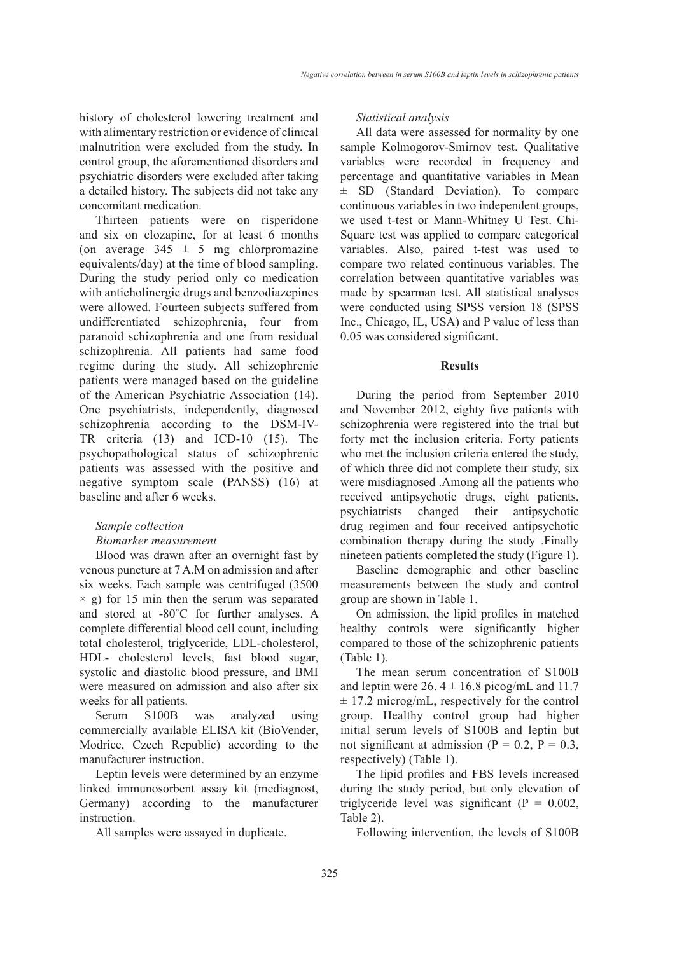history of cholesterol lowering treatment and with alimentary restriction or evidence of clinical malnutrition were excluded from the study. In control group, the aforementioned disorders and psychiatric disorders were excluded after taking a detailed history. The subjects did not take any concomitant medication.

Thirteen patients were on risperidone and six on clozapine, for at least 6 months (on average  $345 \pm 5$  mg chlorpromazine equivalents/day) at the time of blood sampling. During the study period only co medication with anticholinergic drugs and benzodiazepines were allowed. Fourteen subjects suffered from undifferentiated schizophrenia, four from paranoid schizophrenia and one from residual schizophrenia. All patients had same food regime during the study. All schizophrenic patients were managed based on the guideline of the American Psychiatric Association (14). One psychiatrists, independently, diagnosed schizophrenia according to the DSM-IV-TR criteria (13) and ICD-10 (15). The psychopathological status of schizophrenic patients was assessed with the positive and negative symptom scale (PANSS) (16) at baseline and after 6 weeks.

# *Sample collection*

# *Biomarker measurement*

Blood was drawn after an overnight fast by venous puncture at 7 A.M on admission and after six weeks. Each sample was centrifuged (3500  $\times$  g) for 15 min then the serum was separated and stored at -80˚C for further analyses. A complete differential blood cell count, including total cholesterol, triglyceride, LDL-cholesterol, HDL- cholesterol levels, fast blood sugar, systolic and diastolic blood pressure, and BMI were measured on admission and also after six weeks for all patients.

Serum S100B was analyzed using commercially available ELISA kit (BioVender, Modrice, Czech Republic) according to the manufacturer instruction.

Leptin levels were determined by an enzyme linked immunosorbent assay kit (mediagnost, Germany) according to the manufacturer instruction.

All samples were assayed in duplicate.

# *Statistical analysis*

All data were assessed for normality by one sample Kolmogorov-Smirnov test. Qualitative variables were recorded in frequency and percentage and quantitative variables in Mean ± SD (Standard Deviation). To compare continuous variables in two independent groups, we used t-test or Mann-Whitney U Test. Chi-Square test was applied to compare categorical variables. Also, paired t-test was used to compare two related continuous variables. The correlation between quantitative variables was made by spearman test. All statistical analyses were conducted using SPSS version 18 (SPSS Inc., Chicago, IL, USA) and P value of less than 0.05 was considered significant.

# **Results**

During the period from September 2010 and November 2012, eighty five patients with schizophrenia were registered into the trial but forty met the inclusion criteria. Forty patients who met the inclusion criteria entered the study, of which three did not complete their study, six were misdiagnosed .Among all the patients who received antipsychotic drugs, eight patients, psychiatrists changed their antipsychotic drug regimen and four received antipsychotic combination therapy during the study .Finally nineteen patients completed the study (Figure 1).

Baseline demographic and other baseline measurements between the study and control group are shown in Table 1.

On admission, the lipid profiles in matched healthy controls were significantly higher compared to those of the schizophrenic patients (Table 1).

The mean serum concentration of S100B and leptin were 26.  $4 \pm 16.8$  picog/mL and 11.7  $\pm$  17.2 microg/mL, respectively for the control group. Healthy control group had higher initial serum levels of S100B and leptin but not significant at admission ( $P = 0.2$ ,  $P = 0.3$ , respectively) (Table 1).

The lipid profiles and FBS levels increased during the study period, but only elevation of triglyceride level was significant ( $P = 0.002$ , Table 2).

Following intervention, the levels of S100B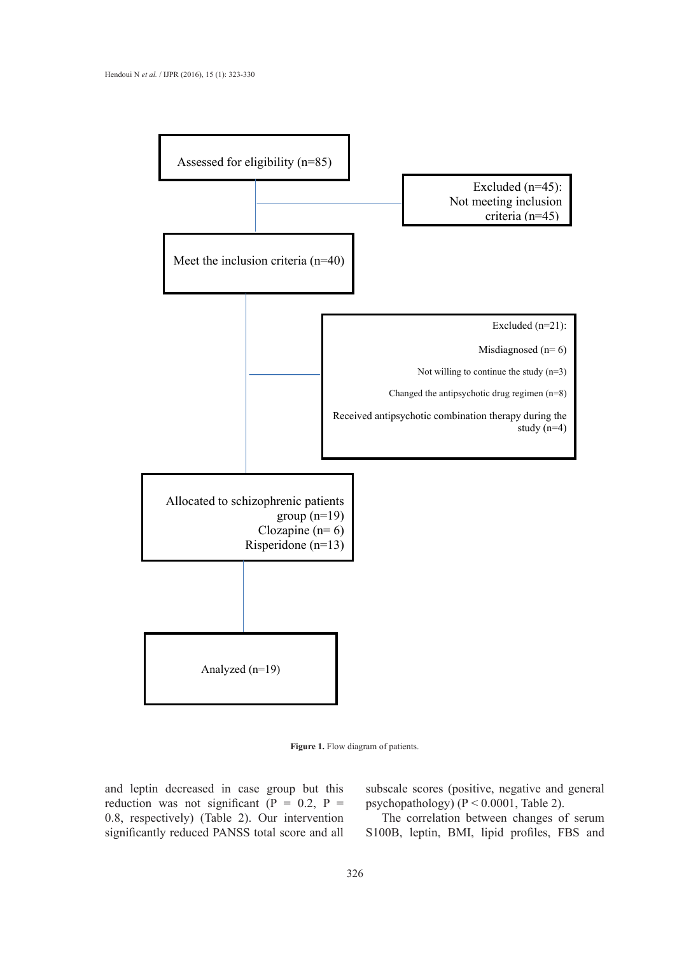

**Figure 1.** Flow diagram of patients.

and leptin decreased in case group but this reduction was not significant ( $P = 0.2$ ,  $P =$ 0.8, respectively) (Table 2). Our intervention significantly reduced PANSS total score and all

subscale scores (positive, negative and general psychopathology) (P < 0.0001, Table 2).

The correlation between changes of serum S100B, leptin, BMI, lipid profiles, FBS and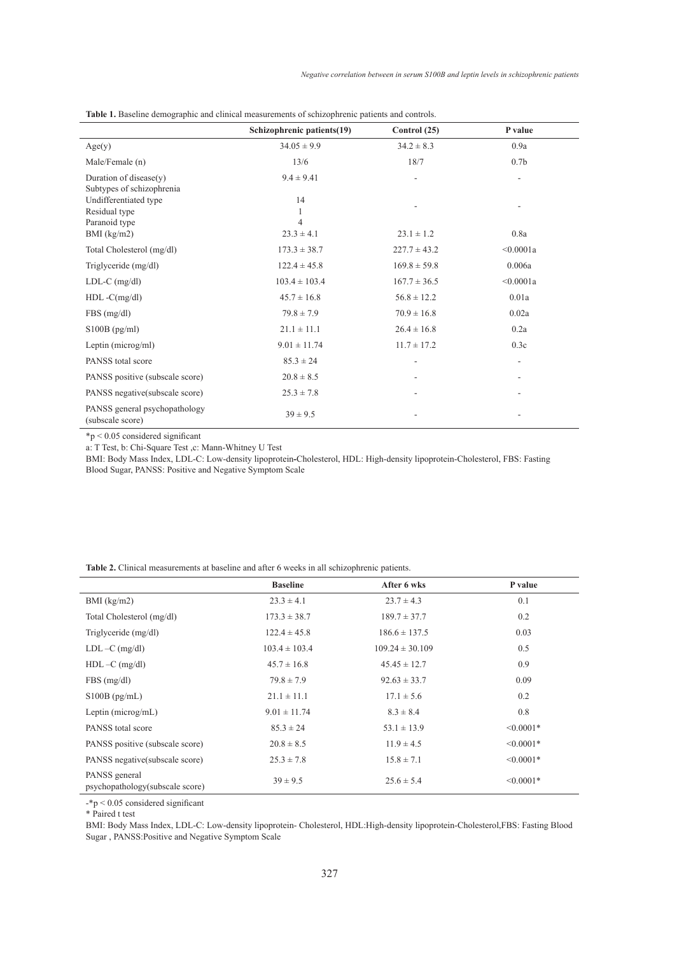|                                                   | Schizophrenic patients(19) | Control $(25)$   | P value          |
|---------------------------------------------------|----------------------------|------------------|------------------|
| Age(y)                                            | $34.05 \pm 9.9$            | $34.2 \pm 8.3$   | 0.9a             |
| Male/Female (n)                                   | 13/6                       | 18/7             | 0.7 <sub>b</sub> |
| Duration of disease $(y)$                         | $9.4 \pm 9.41$             |                  |                  |
| Subtypes of schizophrenia                         |                            |                  |                  |
| Undifferentiated type                             | 14                         |                  |                  |
| Residual type                                     |                            |                  |                  |
| Paranoid type                                     | 4                          |                  |                  |
| $BMI$ (kg/m2)                                     | $23.3 \pm 4.1$             | $23.1 \pm 1.2$   | 0.8a             |
| Total Cholesterol (mg/dl)                         | $173.3 \pm 38.7$           | $227.7 \pm 43.2$ | < 0.0001a        |
| Triglyceride (mg/dl)                              | $122.4 \pm 45.8$           | $169.8 \pm 59.8$ | 0.006a           |
| $LDL-C$ (mg/dl)                                   | $103.4 \pm 103.4$          | $167.7 \pm 36.5$ | < 0.0001a        |
| $HDL-C(mg/dl)$                                    | $45.7 \pm 16.8$            | $56.8 \pm 12.2$  | 0.01a            |
| FBS(mg/dl)                                        | $79.8 \pm 7.9$             | $70.9 \pm 16.8$  | 0.02a            |
| $S100B$ (pg/ml)                                   | $21.1 \pm 11.1$            | $26.4 \pm 16.8$  | 0.2a             |
| Leptin (microg/ml)                                | $9.01 \pm 11.74$           | $11.7 \pm 17.2$  | 0.3c             |
| PANSS total score                                 | $85.3 \pm 24$              |                  |                  |
| PANSS positive (subscale score)                   | $20.8 \pm 8.5$             |                  |                  |
| PANSS negative (subscale score)                   | $25.3 \pm 7.8$             |                  |                  |
| PANSS general psychopathology<br>(subscale score) | $39 \pm 9.5$               |                  |                  |

|  |  |  |  |  |  | <b>Table 1.</b> Baseline demographic and clinical measurements of schizophrenic patients and controls. |  |  |  |  |  |  |
|--|--|--|--|--|--|--------------------------------------------------------------------------------------------------------|--|--|--|--|--|--|
|--|--|--|--|--|--|--------------------------------------------------------------------------------------------------------|--|--|--|--|--|--|

\*p < 0.05 considered significant

a: T Test, b: Chi-Square Test ,c: Mann-Whitney U Test

BMI: Body Mass Index, LDL-C: Low-density lipoprotein**-**Cholesterol, HDL: High-density lipoprotein-Cholesterol, FBS: Fasting Blood Sugar, PANSS: Positive and Negative Symptom Scale

|                                                  | <b>Baseline</b>   | After 6 wks         | P value        |
|--------------------------------------------------|-------------------|---------------------|----------------|
|                                                  |                   |                     |                |
| BMI $(kg/m2)$                                    | $23.3 \pm 4.1$    | $23.7 \pm 4.3$      | 0.1            |
| Total Cholesterol (mg/dl)                        | $173.3 \pm 38.7$  | $189.7 \pm 37.7$    | 0.2            |
| Triglyceride (mg/dl)                             | $122.4 \pm 45.8$  | $186.6 \pm 137.5$   | 0.03           |
| $LDL - C$ (mg/dl)                                | $103.4 \pm 103.4$ | $109.24 \pm 30.109$ | 0.5            |
| $HDL-C$ (mg/dl)                                  | $45.7 \pm 16.8$   | $45.45 \pm 12.7$    | 0.9            |
| FBS(mg/dl)                                       | $79.8 \pm 7.9$    | $92.63 \pm 33.7$    | 0.09           |
| $S100B$ (pg/mL)                                  | $21.1 \pm 11.1$   | $17.1 \pm 5.6$      | 0.2            |
| Leptin ( $microg/mL$ )                           | $9.01 \pm 11.74$  | $8.3 \pm 8.4$       | 0.8            |
| PANSS total score                                | $85.3 \pm 24$     | $53.1 \pm 13.9$     | $\leq 0.0001*$ |
| PANSS positive (subscale score)                  | $20.8 \pm 8.5$    | $11.9 \pm 4.5$      | $< 0.0001*$    |
| PANSS negative (subscale score)                  | $25.3 \pm 7.8$    | $15.8 \pm 7.1$      | $< 0.0001*$    |
| PANSS general<br>psychopathology(subscale score) | $39 \pm 9.5$      | $25.6 \pm 5.4$      | $< 0.0001*$    |

-\*p < 0.05 considered significant

\* Paired t test

BMI: Body Mass Index, LDL-C: Low-density lipoprotein- Cholesterol, HDL:High-density lipoprotein-Cholesterol,FBS: Fasting Blood Sugar , PANSS:Positive and Negative Symptom Scale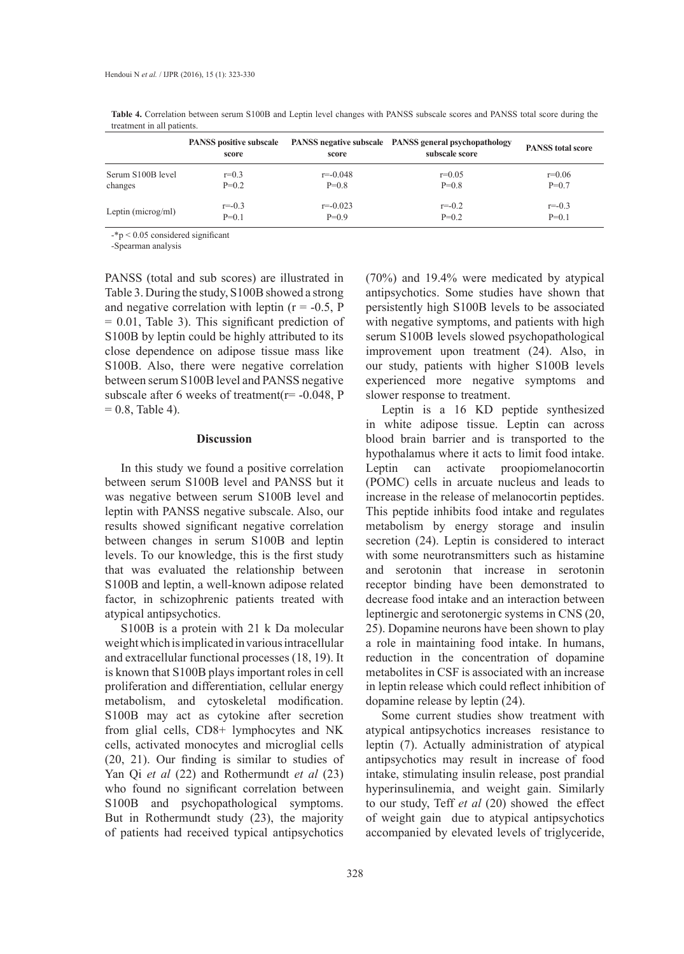|                    | <b>PANSS</b> positive subscale<br>score | score        | PANSS negative subscale PANSS general psychopathology<br>subscale score | <b>PANSS total score</b> |
|--------------------|-----------------------------------------|--------------|-------------------------------------------------------------------------|--------------------------|
| Serum S100B level  | $r=0.3$                                 | $r = -0.048$ | $r=0.05$                                                                | $r = 0.06$               |
| changes            | $P=0.2$                                 | $P=0.8$      | $P=0.8$                                                                 | $P=0.7$                  |
| Leptin (microg/ml) | $r = -0.3$                              | $r = -0.023$ | $r = -0.2$                                                              | $r = -0.3$               |
|                    | $P=0.1$                                 | $P=0.9$      | $P=0.2$                                                                 | $P=0.1$                  |

**Table 4.** Correlation between serum S100B and Leptin level changes with PANSS subscale scores and PANSS total score during the treatment in all patients.

-\*p < 0.05 considered significant

-Spearman analysis

PANSS (total and sub scores) are illustrated in Table 3. During the study, S100B showed a strong and negative correlation with leptin  $(r = -0.5, P)$ = 0.01, Table 3). This significant prediction of S100B by leptin could be highly attributed to its close dependence on adipose tissue mass like S100B. Also, there were negative correlation between serum S100B level and PANSS negative subscale after 6 weeks of treatment( $r = -0.048$ , P  $= 0.8$ , Table 4).

## **Discussion**

In this study we found a positive correlation between serum S100B level and PANSS but it was negative between serum S100B level and leptin with PANSS negative subscale. Also, our results showed significant negative correlation between changes in serum S100B and leptin levels. To our knowledge, this is the first study that was evaluated the relationship between S100B and leptin, a well-known adipose related factor, in schizophrenic patients treated with atypical antipsychotics.

S100B is a protein with 21 k Da molecular weight which is implicated in various intracellular and extracellular functional processes (18, 19). It is known that S100B plays important roles in cell proliferation and differentiation, cellular energy metabolism, and cytoskeletal modification. S100B may act as cytokine after secretion from glial cells, CD8+ lymphocytes and NK cells, activated monocytes and microglial cells (20, 21). Our finding is similar to studies of Yan Qi *et al* (22) and Rothermundt *et al* (23) who found no significant correlation between S100B and psychopathological symptoms. But in Rothermundt study (23), the majority of patients had received typical antipsychotics (70%) and 19.4% were medicated by atypical antipsychotics. Some studies have shown that persistently high S100B levels to be associated with negative symptoms, and patients with high serum S100B levels slowed psychopathological improvement upon treatment (24). Also, in our study, patients with higher S100B levels experienced more negative symptoms and slower response to treatment.

Leptin is a 16 KD peptide synthesized in white adipose tissue. Leptin can across blood brain barrier and is transported to the hypothalamus where it acts to limit food intake. Leptin can activate proopiomelanocortin (POMC) cells in arcuate nucleus and leads to increase in the release of melanocortin peptides. This peptide inhibits food intake and regulates metabolism by energy storage and insulin secretion (24). Leptin is considered to interact with some neurotransmitters such as histamine and serotonin that increase in serotonin receptor binding have been demonstrated to decrease food intake and an interaction between leptinergic and serotonergic systems in CNS (20, 25). Dopamine neurons have been shown to play a role in maintaining food intake. In humans, reduction in the concentration of dopamine metabolites in CSF is associated with an increase in leptin release which could reflect inhibition of dopamine release by leptin (24).

Some current studies show treatment with atypical antipsychotics increases resistance to leptin (7). Actually administration of atypical antipsychotics may result in increase of food intake, stimulating insulin release, post prandial hyperinsulinemia, and weight gain. Similarly to our study, Teff *et al* (20) showed the effect of weight gain due to atypical antipsychotics accompanied by elevated levels of triglyceride,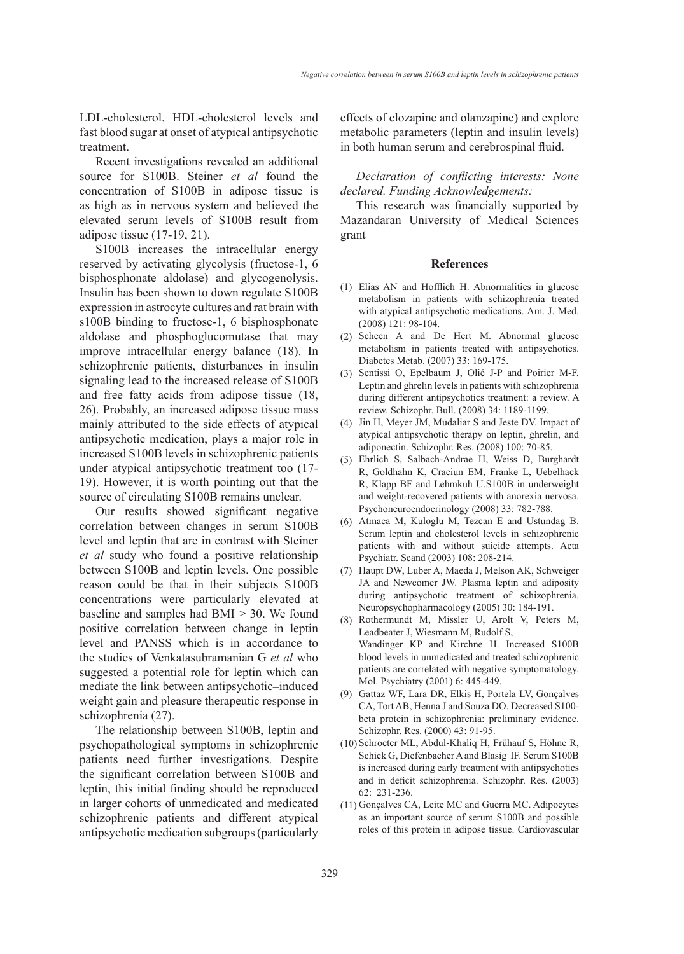LDL-cholesterol, HDL-cholesterol levels and fast blood sugar at onset of atypical antipsychotic treatment.

Recent investigations revealed an additional source for S100B. Steiner *et al* found the concentration of S100B in adipose tissue is as high as in nervous system and believed the elevated serum levels of S100B result from adipose tissue (17-19, 21).

S100B increases the intracellular energy reserved by activating glycolysis (fructose-1, 6 bisphosphonate aldolase) and glycogenolysis. Insulin has been shown to down regulate S100B expression in astrocyte cultures and rat brain with s100B binding to fructose-1, 6 bisphosphonate aldolase and phosphoglucomutase that may improve intracellular energy balance (18). In schizophrenic patients, disturbances in insulin signaling lead to the increased release of S100B and free fatty acids from adipose tissue (18, 26). Probably, an increased adipose tissue mass mainly attributed to the side effects of atypical antipsychotic medication, plays a major role in increased S100B levels in schizophrenic patients under atypical antipsychotic treatment too (17- 19). However, it is worth pointing out that the source of circulating S100B remains unclear.

Our results showed significant negative correlation between changes in serum S100B level and leptin that are in contrast with Steiner *et al* study who found a positive relationship between S100B and leptin levels. One possible reason could be that in their subjects S100B concentrations were particularly elevated at baseline and samples had BMI > 30. We found positive correlation between change in leptin level and PANSS which is in accordance to the studies of Venkatasubramanian G *et al* who suggested a potential role for leptin which can mediate the link between antipsychotic–induced weight gain and pleasure therapeutic response in schizophrenia (27).

The relationship between S100B, leptin and psychopathological symptoms in schizophrenic patients need further investigations. Despite the significant correlation between S100B and leptin, this initial finding should be reproduced in larger cohorts of unmedicated and medicated schizophrenic patients and different atypical antipsychotic medication subgroups (particularly effects of clozapine and olanzapine) and explore metabolic parameters (leptin and insulin levels) in both human serum and cerebrospinal fluid.

# *Declaration of conflicting interests: None declared. Funding Acknowledgements:*

This research was financially supported by Mazandaran University of Medical Sciences grant

#### **References**

- Elias AN and Hofflich H. Abnormalities in glucose (1) metabolism in patients with schizophrenia treated with atypical antipsychotic medications. Am. J. Med. (2008) 121: 98-104.
- (2) Scheen A and De Hert M. Abnormal glucose metabolism in patients treated with antipsychotics. Diabetes Metab. (2007) 33: 169-175.
- (3) Sentissi O, Epelbaum J, Olié J-P and Poirier M-F. Leptin and ghrelin levels in patients with schizophrenia during different antipsychotics treatment: a review. A review. Schizophr. Bull. (2008) 34: 1189-1199.
- (4) Jin H, Meyer JM, Mudaliar S and Jeste DV. Impact of atypical antipsychotic therapy on leptin, ghrelin, and adiponectin. Schizophr. Res. (2008) 100: 70-85.
- Ehrlich S, Salbach-Andrae H, Weiss D, Burghardt (5) R, Goldhahn K, Craciun EM, Franke L, Uebelhack R, Klapp BF and Lehmkuh U.S100B in underweight and weight-recovered patients with anorexia nervosa. Psychoneuroendocrinology (2008) 33: 782-788.
- Atmaca M, Kuloglu M, Tezcan E and Ustundag B. (6) Serum leptin and cholesterol levels in schizophrenic patients with and without suicide attempts. Acta Psychiatr. Scand (2003) 108: 208-214.
- (7) Haupt DW, Luber A, Maeda J, Melson AK, Schweiger JA and Newcomer JW. Plasma leptin and adiposity during antipsychotic treatment of schizophrenia. Neuropsychopharmacology (2005) 30: 184-191.
- (8) Rothermundt M, Missler U, Arolt V, Peters M, Leadbeater J, Wiesmann M, Rudolf S, Wandinger KP and Kirchne H. Increased S100B blood levels in unmedicated and treated schizophrenic patients are correlated with negative symptomatology. Mol. Psychiatry (2001) 6: 445-449.
- (9) Gattaz WF, Lara DR, Elkis H, Portela LV, Gonçalves CA, Tort AB, Henna J and Souza DO. Decreased S100 beta protein in schizophrenia: preliminary evidence. Schizophr. Res. (2000) 43: 91-95.
- (10) Schroeter ML, Abdul-Khaliq H, Frühauf S, Höhne R, Schick G, Diefenbacher A and Blasig IF. Serum S100B is increased during early treatment with antipsychotics and in deficit schizophrenia. Schizophr. Res. (2003) 62: 231-236.
- (11) Gonçalves CA, Leite MC and Guerra MC. Adipocytes as an important source of serum S100B and possible roles of this protein in adipose tissue. Cardiovascular